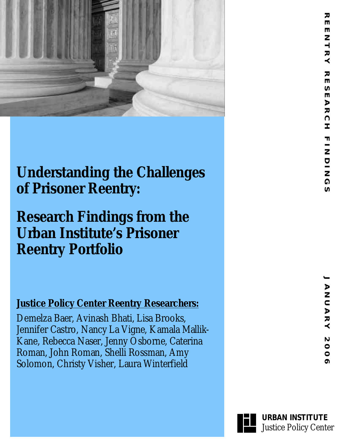

## **Understanding the Challenges of Prisoner Reentry:**

# **Research Findings from the Urban Institute's Prisoner Reentry Portfolio**

### **Justice Policy Center Reentry Researchers:**

Demelza Baer, Avinash Bhati, Lisa Brooks, Jennifer Castro, Nancy La Vigne, Kamala Mallik-Kane, Rebecca Naser, Jenny Osborne, Caterina Roman, John Roman, Shelli Rossman, Amy Solomon, Christy Visher, Laura Winterfield



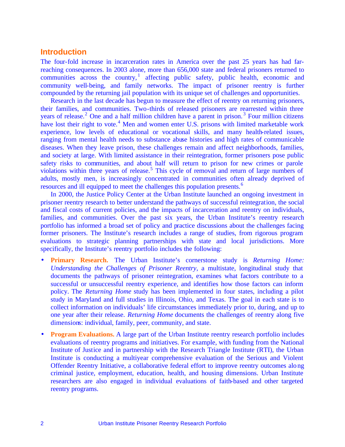#### **Introduction**

The four-fold increase in incarceration rates in America over the past 25 years has had farreaching consequences. In 2003 alone, more than 656,000 state and federal prisoners returned to communities across the country,<sup>1</sup> affecting public safety, public health, economic and community well-being, and family networks. The impact of prisoner reentry is further compounded by the returning jail population with its unique set of challenges and opportunities.

Research in the last decade has begun to measure the effect of reentry on returning prisoners, their families, and communities. Two-thirds of released prisoners are rearrested within three years of release.<sup>2</sup> One and a half million children have a parent in prison.<sup>3</sup> Four million citizens have lost their right to vote.<sup>4</sup> Men and women enter U.S. prisons with limited marketable work experience, low levels of educational or vocational skills, and many health-related issues, ranging from mental health needs to substance abuse histories and high rates of communicable diseases. When they leave prison, these challenges remain and affect neighborhoods, families, and society at large. With limited assistance in their reintegration, former prisoners pose public safety risks to communities, and about half will return to prison for new crimes or parole violations within three years of release.<sup>5</sup> This cycle of removal and return of large numbers of adults, mostly men, is increasingly concentrated in communities often already deprived of resources and ill equipped to meet the challenges this population presents.<sup>6</sup>

In 2000, the Justice Policy Center at the Urban Institute launched an ongoing investment in prisoner reentry research to better understand the pathways of successful reintegration, the social and fiscal costs of current policies, and the impacts of incarceration and reentry on individuals, families, and communities. Over the past six years, the Urban Institute's reentry research portfolio has informed a broad set of policy and practice discussions about the challenges facing former prisoners. The Institute's research includes a range of studies, from rigorous program evaluations to strategic planning partnerships with state and local jurisdictions. More specifically, the Institute's reentry portfolio includes the following:

- **Primary Research.** The Urban Institute's cornerstone study is *Returning Home: Understanding the Challenges of Prisoner Reentry*, a multistate, longitudinal study that documents the pathways of prisoner reintegration, examines what factors contribute to a successful or unsuccessful reentry experience, and identifies how those factors can inform policy. The *Returning Home* study has been implemented in four states, including a pilot study in Maryland and full studies in Illinois, Ohio, and Texas. The goal in each state is to collect information on individuals' life circumstances immediately prior to, during, and up to one year after their release. *Returning Home* documents the challenges of reentry along five dimensions: individual, family, peer, community, and state.
- **Program Evaluations.** A large part of the Urban Institute reentry research portfolio includes evaluations of reentry programs and initiatives. For example, with funding from the National Institute of Justice and in partnership with the Research Triangle Institute (RTI), the Urban Institute is conducting a multiyear comprehensive evaluation of the Serious and Violent Offender Reentry Initiative, a collaborative federal effort to improve reentry outcomes along criminal justice, employment, education, health, and housing dimensions. Urban Institute researchers are also engaged in individual evaluations of faith-based and other targeted reentry programs.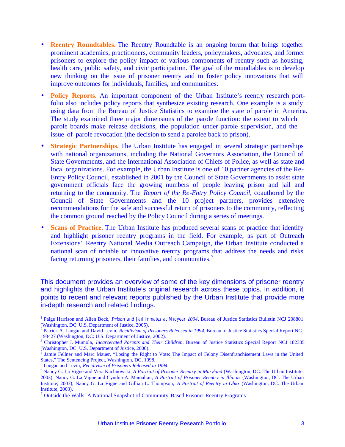- **Reentry Roundtables.** The Reentry Roundtable is an ongoing forum that brings together prominent academics, practitioners, community leaders, policymakers, advocates, and former prisoners to explore the policy impact of various components of reentry such as housing, health care, public safety, and civic participation. The goal of the roundtables is to develop new thinking on the issue of prisoner reentry and to foster policy innovations that will improve outcomes for individuals, families, and communities.
- **Policy Reports.** An important component of the Urban Institute's reentry research portfolio also includes policy reports that synthesize existing research. One example is a study using data from the Bureau of Justice Statistics to examine the state of parole in America. The study examined three major dimensions of the parole function: the extent to which parole boards make release decisions, the population under parole supervision, and the issue of parole revocation (the decision to send a parolee back to prison).
- **Strategic Partnerships.** The Urban Institute has engaged in several strategic partnerships with national organizations, including the National Governors Association, the Council of State Governments, and the International Association of Chiefs of Police, as well as state and local organizations. For example, the Urban Institute is one of 10 partner agencies of the Re-Entry Policy Council, established in 2001 by the Council of State Governments to assist state government officials face the growing numbers of people leaving prison and jail and returning to the community. The *Report of the Re-Entry Policy Council*, coauthored by the Council of State Governments and the 10 project partners, provides extensive recommendations for the safe and successful return of prisoners to the community, reflecting the common ground reached by the Policy Council during a series of meetings.
- **Scans of Practice.** The Urban Institute has produced several scans of practice that identify and highlight prisoner reentry programs in the field. For example, as part of Outreach Extensions' Reentry National Media Outreach Campaign, the Urban Institute conducted a national scan of notable or innovative reentry programs that address the needs and risks facing returning prisoners, their families, and communities.<sup>7</sup>

This document provides an overview of some of the key dimensions of prisoner reentry and highlights the Urban Institute's original research across these topics. In addition, it points to recent and relevant reports published by the Urban Institute that provide more in-depth research and related findings.

<sup>1</sup> Paige Harrison and Allen Beck, *Prison and Jail Inmates at Midyear 2004*, Bureau of Justice Statistics Bulletin NCJ 208801 (Washington, DC: U.S. Department of Justice, 2005). 2 Patrick A. Langan and David Levin, *Recidivism of Prisoners Released in 1994*, Bureau of Justice Statistics Special Report NCJ

<sup>193427 (</sup>Washington, DC: U.S. Department of Justice, 2002).

<sup>3</sup> Christopher J. Mumola, *Incarcerated Parents and Their Children*, Bureau of Justice Statistics Special Report NCJ 182335 (Washington, DC: U.S. Department of Justice, 2000). 4 Jamie Fellner and Marc Mauer, "Losing the Right to Vote: The Impact of Felony Disenfranchisement Laws in the United

States," The Sentencing Project, Washington, DC, 1998.

<sup>5</sup> Langan and Levin, *Recidivism of Prisoners Released in 1994*.

<sup>6</sup> Nancy G. La Vigne and Vera Kachnowski, *A Portrait of Prisoner Reentry in Maryland* (Washington, DC: The Urban Institute, 2003); Nancy G. La Vigne and Cynthia A. Mamalian, *A Portrait of Prisoner Reentry in Illinois* (Washington, DC: The Urban Institute, 2003); Nancy G. La Vigne and Gillian L. Thompson, *A Portrait of Reentry in Ohio* (Washington, DC: The Urban Institute, 2003).

<sup>&</sup>lt;sup>7</sup> Outside the Walls: A National Snapshot of Community-Based Prisoner Reentry Programs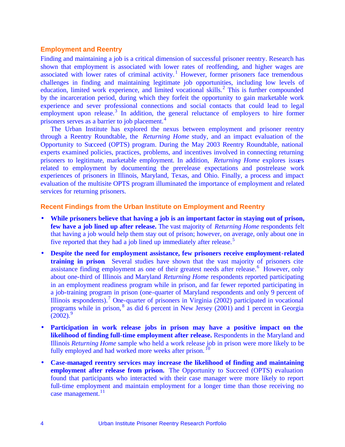#### **Employment and Reentry**

Finding and maintaining a job is a critical dimension of successful prisoner reentry. Research has shown that employment is associated with lower rates of reoffending, and higher wages are associated with lower rates of criminal activity.<sup>1</sup> However, former prisoners face tremendous challenges in finding and maintaining legitimate job opportunities, including low levels of education, limited work experience, and limited vocational skills.<sup>2</sup> This is further compounded by the incarceration period, during which they forfeit the opportunity to gain marketable work experience and sever professional connections and social contacts that could lead to legal employment upon release.<sup>3</sup> In addition, the general reluctance of employers to hire former prisoners serves as a barrier to job placement.<sup>4</sup>

The Urban Institute has explored the nexus between employment and prisoner reentry through a Reentry Roundtable, the *Returning Home* study, and an impact evaluation of the Opportunity to Succeed (OPTS) program. During the May 2003 Reentry Roundtable, national experts examined policies, practices, problems, and incentives involved in connecting returning prisoners to legitimate, marketable employment. In addition, *Returning Home* explores issues related to employment by documenting the prerelease expectations and postrelease work experiences of prisoners in Illinois, Maryland, Texas, and Ohio. Finally, a process and impact evaluation of the multisite OPTS program illuminated the importance of employment and related services for returning prisoners.

#### **Recent Findings from the Urban Institute on Employment and Reentry**

- **While prisoners believe that having a job is an important factor in staying out of prison, few have a job lined up after release.** The vast majority of *Returning Home* respondents felt that having a job would help them stay out of prison; however, on average, only about one in five reported that they had a job lined up immediately after release.<sup>5</sup>
- **Despite the need for employment assistance, few prisoners receive employment-related training in prison**. Several studies have shown that the vast majority of prisoners cite assistance finding employment as one of their greatest needs after release.<sup>6</sup> However, only about one-third of Illinois and Maryland *Returning Home* respondents reported participating in an employment readiness program while in prison, and far fewer reported participating in a job-training program in prison (one-quarter of Maryland respondents and only 9 percent of Illinois respondents).<sup>7</sup> One-quarter of prisoners in Virginia (2002) participated in vocational programs while in prison, <sup>8</sup> as did 6 percent in New Jersey (2001) and 1 percent in Georgia  $(2002).<sup>9</sup>$
- **Participation in work release jobs in prison may have a positive impact on the likelihood of finding full-time employment after release.** Respondents in the Maryland and Illinois *Returning Home* sample who held a work release job in prison were more likely to be fully employed and had worked more weeks after prison.<sup>10</sup>
- **Case-managed reentry services may increase the likelihood of finding and maintaining employment after release from prison.** The Opportunity to Succeed (OPTS) evaluation found that participants who interacted with their case manager were more likely to report full-time employment and maintain employment for a longer time than those receiving no case management.<sup>11</sup>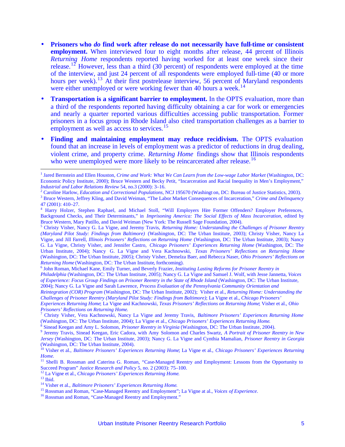- **Prisoners who** *do* **find work after release do not necessarily have full-time or consistent employment.** When interviewed four to eight months after release, 44 percent of Illinois *Returning Home* respondents reported having worked for at least one week since their release.<sup>12</sup> However, less than a third (30 percent) of respondents were employed at the time of the interview, and just 24 percent of all respondents were employed full-time (40 or more hours per week).<sup>13</sup> At their first postrelease interview, 56 percent of Maryland respondents were either unemployed or were working fewer than 40 hours a week.<sup>14</sup>
- **Transportation is a significant barrier to employment.** In the OPTS evaluation, more than a third of the respondents reported having difficulty obtaining a car for work or emergencies and nearly a quarter reported various difficulties accessing public transportation. Former prisoners in a focus group in Rhode Island also cited transportation challenges as a barrier to employment as well as access to services.<sup>15</sup>
- **Finding and maintaining employment may reduce recidivism.** The OPTS evaluation found that an increase in levels of employment was a predictor of reductions in drug dealing, violent crime, and property crime. *Returning Home* findings show that Illinois respondents who were unemployed were more likely to be reincarcerated after release.<sup>16</sup>

2 Caroline Harlow, *Education and Correctional Populations,* NCJ 195670 (Washingt on, DC: Bureau of Justice Statistics, 2003).

<sup>12</sup> La Vigne et al., *Chicago Prisoners' Experiences Returning Home*.

<sup>&</sup>lt;sup>1</sup> Jared Bernstein and Ellen Houston, *Crime and Work: What We Can Learn from the Low-wage Labor Market* (Washington, DC: Economic Policy Institute, 2000); Bruce Western and Becky Petit, "Incarceration and Racial Inequality in Men's Employment," *Industrial and Labor Relations Review* 54, no.3 (2000): 3–16.

<sup>3</sup> Bruce Western, Jeffrey Kling, and David Weiman, "The Labor Market Consequences of Incarceration," *Crime and Delinquency* 47 (2001): 410–27.

<sup>4</sup> Harry Holzer, Stephen Raphael, and Michael Stoll, "Will Employers Hire Former Offenders? Employer Preferences, Background Checks, and Their Determinants," in *Imprisoning America: The Social Effects of Mass Incarceration*, edited by Bruce Western, Mary Patillo, and David Weiman (New York: The Russell Sage Foundation, 2004).

<sup>5</sup> Christy Visher, Nancy G. La Vigne, and Jeremy Travis, *Returning Home: Understanding the Challenges of Prisoner Reentry (Maryland Pilot Study: Findings from Baltimore)* (Washington, DC: The Urban Institute, 2003); Christy Visher, Nancy La Vigne, and Jill Farrell, *Illinois Prisoners' Reflections on Returning Home* (Washington, DC: The Urban Institute, 2003); Nancy G. La Vigne, Christy Visher, and Jennifer Castro, *Chicago Prisoners' Experiences Returning Home* (Washington, DC: The Urban Institute, 2004); Nancy G. La Vigne and Vera Kachnowski, *Texas Prisoners' Reflections on Returning Home* (Washington, DC: The Urban Institute, 2005); Christy Visher, Demelza Baer, and Rebecca Naser, *Ohio Prisoners' Reflections on Returning Home* (Washington, DC: The Urban Institute, forthcoming).

<sup>6</sup> John Roman, Michael Kane, Emily Turner, and Beverly Frazier, *Instituting Lasting Reforms for Prisoner Reentry in* 

*Philadelphia* (Washington, DC: The Urban Institute, 2005); Nancy G. La Vigne and Samuel J. Wolf, with Jesse Jannetta, *Voices of Experience: Focus Group Findings on Prisoner Reentry in the State of Rhode Island* (Washington, DC: The Urban Institute, 2004); Nancy G. La Vigne and Sarah Lawrence, *Process Evaluation of the Pennsylvania Community Orientation and* 

*Reintegration (COR) Program* (Washington, DC: The Urban Institute, 2002); Visher et al., *Returning Home: Understanding the Challenges of Prisoner Reentry (Maryland Pilot Study: Findings from Baltimore)*; La Vigne et al., *Chicago Prisoners'* 

*Experiences Returning Home*; La Vigne and Kachnowski, *Texas Prisoners' Reflections on Returning Home*; Visher et al., *Ohio Prisoners' Reflections on Returning Home*.

<sup>7</sup> Christy Visher, Vera Kachnowski, Nancy La Vigne and Jeremy Travis, *Baltimore Prisoners' Experiences Returning Home*  (Washington, DC: The Urban Institute, 2004); La Vigne et al., *Chicago Prisoners' Experiences Returning Home*.

<sup>8</sup> Sinead Keegan and Amy L. Solomon, *Prisoner Reentry in Virginia* (Washington, DC: The Urban Institute, 2004).

<sup>9</sup> Jeremy Travis, Sinead Keegan, Eric Cadora, with Amy Solomon and Charles Swartz, *A Portrait of Prisoner Reentry in New Jersey* (Washington, DC: The Urban Institute, 2003); Nancy G. La Vigne and Cynthia Mamalian, *Prisoner Reentry in Georgia*  (Washington, DC: The Urban Institute, 2004).

<sup>10</sup> Visher et al., *Baltimore Prisoners' Experiences Returning Home*; La Vigne et al., *Chicago Prisoners' Experiences Returning Home*.

<sup>&</sup>lt;sup>11</sup> Shelli B. Rossman and Caterina G. Roman, "Case-Managed Reentry and Employment: Lessons from the Opportunity to Succeed Program" *Justice Research and Policy* 5, no. 2 (2003): 75–100.

 $13$  Ibid.

<sup>14</sup> Visher et al., *Baltimore Prisoners' Experiences Returning Home*.

<sup>15</sup> Rossman and Roman, "Case-Managed Reentry and Employment"; La Vigne at al., *Voices of Experience*.

<sup>16</sup> Rossman and Roman, "Case-Managed Reentry and Employment."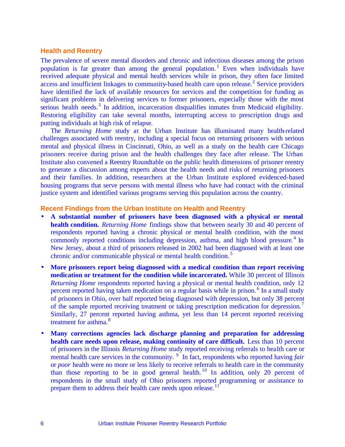#### **Health and Reentry**

The prevalence of severe mental disorders and chronic and infectious diseases among the prison population is far greater than among the general population.<sup>1</sup> Even when individuals have received adequate physical and mental health services while in prison, they often face limited  $access$  and insufficient linkages to community-based health care upon release.<sup>2</sup> Service providers have identified the lack of available resources for services and the competition for funding as significant problems in delivering services to former prisoners, especially those with the most serious health needs.<sup>3</sup> In addition, incarceration disqualifies inmates from Medicaid eligibility. Restoring eligibility can take several months, interrupting access to prescription drugs and putting individuals at high risk of relapse.

The *Returning Home* study at the Urban Institute has illuminated many health-related challenges associated with reentry, including a special focus on returning prisoners with serious mental and physical illness in Cincinnati, Ohio, as well as a study on the health care Chicago prisoners receive during prison and the health challenges they face after release. The Urban Institute also convened a Reentry Roundtable on the public health dimensions of prisoner reentry to generate a discussion among experts about the health needs and risks of returning prisoners and their families. In addition, researchers at the Urban Institute explored evidenced-based housing programs that serve persons with mental illness who have had contact with the criminal justice system and identified various programs serving this population across the country.

#### **Recent Findings from the Urban Institute on Health and Reentry**

- **A substantial number of prisoners have been diagnosed with a physical or mental health condition.** *Returning Home* findings show that between nearly 30 and 40 percent of respondents reported having a chronic physical or mental health condition, with the most commonly reported conditions including depression, asthma, and high blood pressure.<sup>4</sup> In New Jersey, about a third of prisoners released in 2002 had been diagnosed with at least one chronic and/or communicable physical or mental health condition.<sup>5</sup>
- **More prisoners report being diagnosed with a medical condition than report receiving medication or treatment for the condition while incarcerated.** While 30 percent of Illinois *Returning Home respondents reported having a physical or mental health condition, only 12* percent reported having taken medication on a regular basis while in prison.<sup>6</sup> In a small study of prisoners in Ohio, over half reported being diagnosed with depression, but only 38 percent of the sample reported receiving treatment or taking prescription medication for depression.<sup>7</sup> Similarly, 27 percent reported having asthma, yet less than 14 percent reported receiving treatment for asthma.<sup>8</sup>
- **Many corrections agencies lack discharge planning and preparation for addressing health care needs upon release, making continuity of care difficult.** Less than 10 percent of prisoners in the Illinois *Returning Home* study reported receiving referrals to health care or mental health care services in the community. <sup>9</sup> In fact, respondents who reported having *fair* or *poor* health were no more or less likely to receive referrals to health care in the community than those reporting to be in good general health.<sup>10</sup> In addition, only 20 percent of respondents in the small study of Ohio prisoners reported programming or assistance to prepare them to address their health care needs upon release.<sup>11</sup>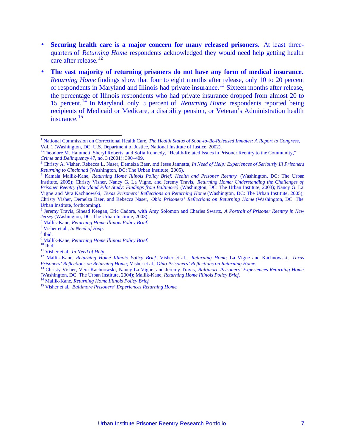- **Securing health care is a major concern for many released prisoners.** At least threequarters of *Returning Home* respondents acknowledged they would need help getting health care after release.<sup>12</sup>
- The vast majority of returning prisoners do not have any form of medical insurance. *Returning Home* findings show that four to eight months after release, only 10 to 20 percent of respondents in Maryland and Illinois had private insurance.<sup>13</sup> Sixteen months after release, the percentage of Illinois respondents who had private insurance dropped from almost 20 to 15 percent.<sup>14</sup> In Maryland, only 5 percent of *Returning Home* respondents reported being recipients of Medicaid or Medicare, a disability pension, or Veteran's Administration health insurance.<sup>15</sup>

<sup>1</sup> National Commission on Correctional Health Care, *The Health Status of Soon-to-Be-Released Inmates: A Report to Congress,* Vol. 1 (Washington, DC: U.S. Department of Justice, National Institute of Justice, 2002).

<sup>&</sup>lt;sup>2</sup> Theodore M. Hammett, Sheryl Roberts, and Sofia Kennedy, "Health-Related Issues in Prisoner Reentry to the Community," *Crime and Delinquency* 47, no. 3 (2001): 390–409.

<sup>3</sup> Christy A. Visher, Rebecca L. Naser, Demelza Baer, and Jesse Jannetta, *In Need of Help: Experiences of Seriously Ill Prisoners Returning to Cincinnati* (Washington, DC: The Urban Institute, 2005). 4 Kamala Mallik-Kane, *Returning Home Illinois Policy Brief: Health and Prisoner Reentry* (Washington, DC: The Urban

Institute, 2005); Christy Visher, Nancy G. La Vigne, and Jeremy Travis, *Returning Home: Understanding the Challenges of Prisoner Reentry (Maryland Pilot Study: Findings from Baltimore)* (Washington, DC: The Urban Institute, 2003); Nancy G. La Vigne and Vera Kachnowski, *Texas Prisoners' Reflections on Returning Home* (Washington, DC: The Urban Institute, 2005); Christy Visher, Demelza Baer, and Rebecca Naser, *Ohio Prisoners' Reflections on Returning Home* (Washington, DC: The Urban Institute, forthcoming).

<sup>5</sup> Jeremy Travis, Sinead Keegan, Eric Cadora, with Amy Solomon and Charles Swartz, *A Portrait of Prisoner Reentry in New Jersey* (Washington, DC: The Urban Institute, 2003).

<sup>6</sup> Mallik-Kane, *Returning Home Illinois Policy Brief*.

<sup>7</sup> Visher et al., *In Need of Help*.

<sup>8</sup> Ibid.

<sup>9</sup> Mallik-Kane, *Returning Home Illinois Policy Brief*.

 $10$  Ibid.

<sup>11</sup> Visher et al., *In Need of Help*.

<sup>12</sup> Mallik-Kane, *Returning Home Illinois Policy Brief*; Visher et al., *Returning Home*; La Vigne and Kachnowski, *Texas Prisoners' Reflections on Returning Home;* Visher et al., *Ohio Prisoners' Reflections on Returning Home*.

<sup>13</sup> Christy Visher, Vera Kachnowski, Nancy La Vigne, and Jeremy Travis, *Baltimore Prisoners' Experiences Returning Home*  (Washington, DC: The Urban Institute, 2004); Mallik-Kane, *Returning Home Illinois Policy Brief*.

<sup>14</sup> Mallik-Kane, *Returning Home Illinois Policy Brief*.

<sup>15</sup> Visher et al., *Baltimore Prisoners' Experiences Returning Home*.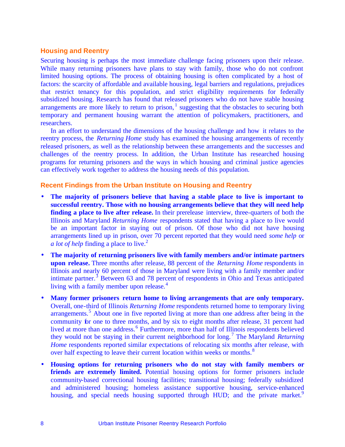#### **Housing and Reentry**

Securing housing is perhaps the most immediate challenge facing prisoners upon their release. While many returning prisoners have plans to stay with family, those who do not confront limited housing options. The process of obtaining housing is often complicated by a host of factors: the scarcity of affordable and available housing, legal barriers and regulations, prejudices that restrict tenancy for this population, and strict eligibility requirements for federally subsidized housing. Research has found that released prisoners who do not have stable housing arrangements are more likely to return to prison, $<sup>1</sup>$  suggesting that the obstacles to securing both</sup> temporary and permanent housing warrant the attention of policymakers, practitioners, and researchers.

In an effort to understand the dimensions of the housing challenge and how it relates to the reentry process, the *Returning Home* study has examined the housing arrangements of recently released prisoners, as well as the relationship between these arrangements and the successes and challenges of the reentry process. In addition, the Urban Institute has researched housing programs for returning prisoners and the ways in which housing and criminal justice agencies can effectively work together to address the housing needs of this population.

#### **Recent Findings from the Urban Institute on Housing and Reentry**

- **The majority of prisoners believe that having a stable place to live is important to successful reentry. Those with no housing arrangements believe that they will need help finding a place to live after release.** In their prerelease interview, three-quarters of both the Illinois and Maryland *Returning Home* respondents stated that having a place to live would be an important factor in staying out of prison. Of those who did not have housing arrangements lined up in prison, over 70 percent reported that they would need *some help* or *a lot of help* finding a place to live.<sup>2</sup>
- **The majority of returning prisoners live with family members and/or intimate partners upon release.** Three months after release, 88 percent of the *Returning Home* respondents in Illinois and nearly 60 percent of those in Maryland were living with a family member and/or intimate partner.<sup>3</sup> Between 63 and 78 percent of respondents in Ohio and Texas anticipated living with a family member upon release. $4$
- **Many former prisoners return home to living arrangements that are only temporary.**  Overall, one-third of Illinois *Returning Home* respondents returned home to temporary living arrangements.<sup>5</sup> About one in five reported living at more than one address after being in the community for one to three months, and by six to eight months after release, 31 percent had lived at more than one address.<sup>6</sup> Furthermore, more than half of Illinois respondents believed they would not be staying in their current neighborhood for long.<sup>7</sup> The Maryland *Returning Home* respondents reported similar expectations of relocating six months after release, with over half expecting to leave their current location within weeks or months.<sup>8</sup>
- **Housing options for returning prisoners who do not stay with family members or** friends are extremely limited. Potential housing options for former prisoners include community-based correctional housing facilities; transitional housing; federally subsidized and administered housing; homeless assistance supportive housing, service-enhanced housing, and special needs housing supported through HUD; and the private market.<sup>9</sup>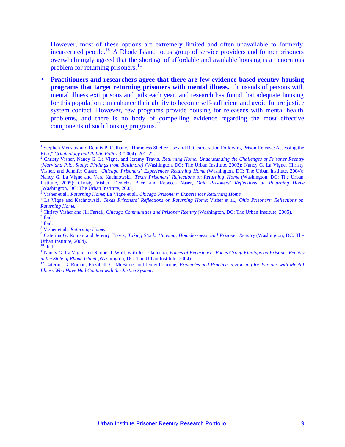However, most of these options are extremely limited and often unavailable to formerly incarcerated people.<sup>10</sup> A Rhode Island focus group of service providers and former prisoners overwhelmingly agreed that the shortage of affordable and available housing is an enormous problem for returning prisoners.<sup>11</sup>

• **Practitioners and researchers agree that there are few evidence-based reentry housing programs that target returning prisoners with mental illness.** Thousands of persons with mental illness exit prisons and jails each year, and research has found that adequate housing for this population can enhance their ability to become self-sufficient and avoid future justice system contact. However, few programs provide housing for releasees with mental health problems, and there is no body of compelling evidence regarding the most effective components of such housing programs.<sup>12</sup>

5 Christy Visher and Jill Farrell, *Chicago Communities and Prisoner Reentry* (Washington, DC: The Urban Institute, 2005).

 $\overline{a}$ 

- $<sup>7</sup>$  Ibid.</sup>
- 8 Visher et al., *Returning Home*.

 $10$  Ibid.

<sup>&</sup>lt;sup>1</sup> Stephen Metraux and Dennis P. Culhane, "Homeless Shelter Use and Reincarceration Following Prison Release: Assessing the Risk," *Criminology and Public Policy* 3 (2004): 201–22.

<sup>2</sup> Christy Visher, Nancy G. La Vigne, and Jeremy Travis, *Returning Home: Understanding the Challenges of Prisoner Reentry (Maryland Pilot Study: Findings from Baltimore)* (Washington, DC: The Urban Institute, 2003); Nancy G. La Vigne, Christy Visher, and Jennifer Castro, *Chicago Prisoners' Experiences Returning Home* (Washington, DC: The Urban Institute, 2004); Nancy G. La Vigne and Vera Kachnowski, *Texas Prisoners' Reflections on Returning Home* (Washington, DC: The Urban Institute, 2005); Christy Visher, Demelza Baer, and Rebecca Naser, *Ohio Prisoners' Reflections on Returning Home* (Washington, DC: The Urban Institute, 2005).

<sup>3</sup> Visher et al., *Returning Home*; La Vigne et al., *Chicago Prisoners' Experiences Returning Home*.

<sup>4</sup> La Vigne and Kachnowski, *Texas Prisoners' Reflections on Returning Home*; Visher et al., *Ohio Prisoners' Reflections on Returning Home*.

<sup>6</sup> Ibid.

<sup>9</sup> Caterina G. Roman and Jeremy Travis, *Taking Stock: Housing, Homelessness, and Prisoner Reentry* (Washington, DC: The Urban Institute, 2004).

<sup>11</sup>Nancy G. La Vigne and Samuel J. Wolf, with Jesse Jannetta, *Voices of Experience: Focus Group Findings on Prisoner Reentry in the State of Rhode Island* (Washington, DC: The Urban Institute, 2004).

<sup>&</sup>lt;sup>12</sup> Caterina G. Roman, Elizabeth C. McBride, and Jenny Osborne, *Principles and Practice in Housing for Persons with Mental Illness Who Have Had Contact with the Justice System*.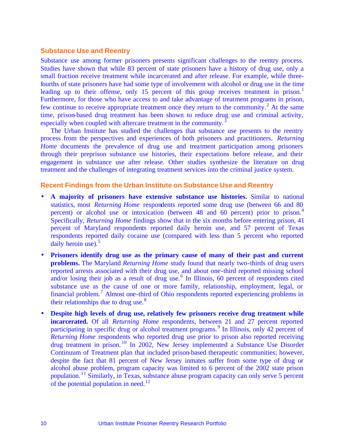#### **Substance Use and Reentry**

Substance use among former prisoners presents significant challenges to the reentry process. Studies have shown that while 83 percent of state prisoners have a history of drug use, only a small fraction receive treatment while incarcerated and after release. For example, while threefourths of state prisoners have had some type of involvement with alcohol or drug use in the time leading up to their offense, only 15 percent of this group receives treatment in prison.<sup>1</sup> Furthermore, for those who have access to and take advantage of treatment programs in prison, few continue to receive appropriate treatment once they return to the community.<sup>2</sup> At the same time, prison-based drug treatment has been shown to reduce drug use and criminal activity, especially when coupled with aftercare treatment in the community.<sup>3</sup>

The Urban Institute has studied the challenges that substance use presents to the reentry process from the perspectives and experiences of both prisoners and practitioners. *Returning Home* documents the prevalence of drug use and treatment participation among prisoners through their preprison substance use histories, their expectations before release, and their engagement in substance use after release. Other studies synthesize the literature on drug treatment and the challenges of integrating treatment services into the criminal justice system.

#### **Recent Findings from the Urban Institute on Substance Use and Reentry**

- **A majority of prisoners have extensive substance use histories.** Similar to national statistics, most *Returning Home* respondents reported some drug use (between 66 and 80 percent) or alcohol use or intoxication (between 48 and 60 percent) prior to prison.<sup>4</sup> Specifically, *Returning Home* findings show that in the six months before entering prison, 41 percent of Maryland respondents reported daily heroin use, and 57 percent of Texas respondents reported daily cocaine use (compared with less than 5 percent who reported daily heroin use). $5$
- **Prisoners identify drug use as the primary cause of many of their past and current problems.** The Maryland *Returning Home* study found that nearly two-thirds of drug users reported arrests associated with their drug use, and about one-third reported missing school and/or losing their job as a result of drug use.<sup>6</sup> In Illinois, 60 percent of respondents cited substance use as the cause of one or more family, relationship, employment, legal, or financial problem.<sup>7</sup> Almost one-third of Ohio respondents reported experiencing problems in their relationships due to drug use. $8<sup>8</sup>$
- **Despite high levels of drug use, relatively few prisoners receive drug treatment while incarcerated.** Of all *Returning Home* respondents, between 21 and 27 percent reported participating in specific drug or alcohol treatment programs.<sup>9</sup> In Illinois, only 42 percent of *Returning Home* respondents who reported drug use prior to prison also reported receiving drug treatment in prison. <sup>10</sup> In 2002, New Jersey implemented a Substance Use Disorder Continuum of Treatment plan that included prison-based therapeutic communities; however, despite the fact that 81 percent of New Jersey inmates suffer from some type of drug or alcohol abuse problem, program capacity was limited to 6 percent of the 2002 state prison population.<sup>11</sup> Similarly, in Texas, substance abuse program capacity can only serve 5 percent of the potential population in need.<sup>12</sup>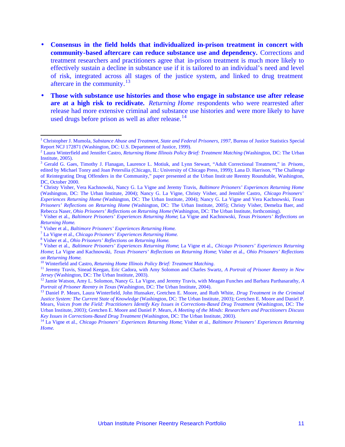- **Consensus in the field holds that individualized in-prison treatment in concert with community-based aftercare can reduce substance use and dependency.** Corrections and treatment researchers and practitioners agree that in-prison treatment is much more likely to effectively sustain a decline in substance use if it is tailored to an individual's need and level of risk, integrated across all stages of the justice system, and linked to drug treatment aftercare in the community.<sup>13</sup>
- **Those with substance use histories and those who engage in substance use after release are at a high risk to recidivate.** *Returning Home* respondents who were rearrested after release had more extensive criminal and substance use histories and were more likely to have used drugs before prison as well as after release.<sup>14</sup>

<sup>&</sup>lt;sup>1</sup> Christopher J. Mumola, *Substance Abuse and Treatment, State and Federal Prisoners, 1997*, Bureau of Justice Statistics Special Report NCJ 172871 (Washington, DC: U.S. Department of Justice, 1999).

<sup>2</sup> Laura Winterfield and Jennifer Castro, *Returning Home Illinois Policy Brief: Treatment Matching* (Washington, DC: The Urban Institute, 2005).

<sup>3</sup> Gerald G. Gaes, Timothy J. Flanagan, Laurence L. Motiuk, and Lynn Stewart, "Adult Correctional Treatment," in *Prisons*, edited by Michael Tonry and Joan Petersilia (Chicago, IL: University of Chicago Press, 1999); Lana D. Harrison, "The Challenge of Reintegrating Drug Offenders in the Community," paper presented at the Urban Instit ute Reentry Roundtable, Washington, DC, October 2000.

<sup>4</sup> Christy Visher, Vera Kachnowski, Nancy G. La Vigne and Jeremy Travis, *Baltimore Prisoners' Experiences Returning Home*  (Washington, DC: The Urban Institute, 2004); Nancy G. La Vigne, Christy Visher, and Jennifer Castro, *Chicago Prisoners' Experiences Returning Home* (Washington, DC: The Urban Institute, 2004); Nancy G. La Vigne and Vera Kachnowski, *Texas Prisoners' Reflections on Returning Home* (Washington, DC: The Urban Institute, 2005); Christy Visher, Demelza Baer, and Rebecca Naser, *Ohio Prisoners' Reflections on Returning Home* (Washington, DC: The Urban Institute, forthcoming).

<sup>5</sup> Visher et al., *Baltimore Prisoners' Experiences Returning Home*; La Vigne and Kachnowski, *Texas Prisoners' Reflections on Returning Home*.

<sup>6</sup> Visher et al., *Baltimore Prisoners' Experiences Returning Home*.

<sup>7</sup> La Vigne et al., *Chicago Prisoners' Experiences Returning Home*.

<sup>8</sup> Visher et al., *Ohio Prisoners' Reflections on Returning Home*.

<sup>9</sup> Visher et al., *Baltimore Prisoners' Experiences Returning Home*; La Vigne et al., *Chicago Prisoners' Experiences Returning Home*; La Vigne and Kachnowski, *Texas Prisoners' Reflections on Returning Home*; Visher et al., *Ohio Prisoners' Reflections on Returning Home*.

<sup>10</sup> Winterfield and Castro, *Returning Home Illinois Policy Brief: Treatment Matching*.

<sup>11</sup> Jeremy Travis, Sinead Keegan, Eric Cadora, with Amy Solomon and Charles Swartz, *A Portrait of Prisoner Reentry in New Jersey* (Washington, DC: The Urban Institute, 2003).

<sup>12</sup> Jamie Watson, Amy L. Solomon, Nancy G. La Vigne, and Jeremy Travis, with Meagan Funches and Barbara Parthasarathy, *A Portrait of Prisoner Reentry in Texas* (Washington, DC: The Urban Institute, 2004).

<sup>13</sup> Daniel P. Mears, Laura Winterfield, John Hunsaker, Gretchen E. Moore, and Ruth White, *Drug Treatment in the Criminal Justice System: The Current State of Knowledge* (Washington, DC: The Urban Institute, 2003); Gretchen E. Moore and Daniel P. Mears, *Voices from the Field: Practitioners Identify Key Issues in Corrections-Based Drug Treatment* (Washington, DC: The Urban Institute, 2003); Gretchen E. Moore and Daniel P. Mears, *A Meeting of the Minds: Researchers and Practitioners Discuss Key Issues in Corrections-Based Drug Treatment* (Washington, DC: The Urban Institute, 2003).

<sup>14</sup> La Vigne et al., *Chicago Prisoners' Experiences Returning Home*; Visher et al., *Baltimore Prisoners' Experiences Returning Home*.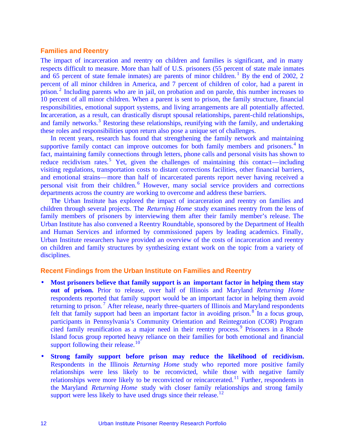#### **Families and Reentry**

The impact of incarceration and reentry on children and families is significant, and in many respects difficult to measure. More than half of U.S. prisoners (55 percent of state male inmates and 65 percent of state female inmates) are parents of minor children.<sup>1</sup> By the end of 2002, 2 percent of all minor children in America, and 7 percent of children of color, had a parent in prison.<sup>2</sup> Including parents who are in jail, on probation and on parole, this number increases to 10 percent of all minor children. When a parent is sent to prison, the family structure, financial responsibilities, emotional support systems, and living arrangements are all potentially affected. Incarceration, as a result, can drastically disrupt spousal relationships, parent-child relationships, and family networks.<sup>3</sup> Restoring these relationships, reunifying with the family, and undertaking these roles and responsibilities upon return also pose a unique set of challenges.

In recent years, research has found that strengthening the family network and maintaining supportive family contact can improve outcomes for both family members and prisoners. $4 \text{ In}$ fact, maintaining family connections through letters, phone calls and personal visits has shown to reduce recidivism rates.<sup>5</sup> Yet, given the challenges of maintaining this contact—including visiting regulations, transportation costs to distant corrections facilities, other financial barriers, and emotional strains—more than half of incarcerated parents report never having received a personal visit from their children.<sup>6</sup> However, many social service providers and corrections departments across the country are working to overcome and address these barriers.

The Urban Institute has explored the impact of incarceration and reentry on families and children through several projects. The *Returning Home* study examines reentry from the lens of family members of prisoners by interviewing them after their family member's release. The Urban Institute has also convened a Reentry Roundtable, sponsored by the Department of Health and Human Services and informed by commissioned papers by leading academics. Finally, Urban Institute researchers have provided an overview of the costs of incarceration and reentry on children and family structures by synthesizing extant work on the topic from a variety of disciplines.

#### **Recent Findings from the Urban Institute on Families and Reentry**

- **Most prisoners believe that family support is an important factor in helping them stay out of prison.** Prior to release, over half of Illinois and Maryland *Returning Home* respondents reported that family support would be an important factor in helping them avoid returning to prison.<sup>7</sup> After release, nearly three-quarters of Illinois and Maryland respondents felt that family support had been an important factor in avoiding prison.<sup>8</sup> In a focus group, participants in Pennsylvania's Community Orientation and Reintegration (COR) Program cited family reunification as a major need in their reentry process.<sup>9</sup> Prisoners in a Rhode Island focus group reported heavy reliance on their families for both emotional and financial support following their release.<sup>10</sup>
- **Strong family support before prison may reduce the likelihood of recidivism.** Respondents in the Illinois *Returning Home* study who reported more positive family relationships were less likely to be reconvicted, while those with negative family relationships were more likely to be reconvicted or reincarcerated.<sup>11</sup> Further, respondents in the Maryland *Returning Home* study with closer family relationships and strong family support were less likely to have used drugs since their release.<sup>12</sup>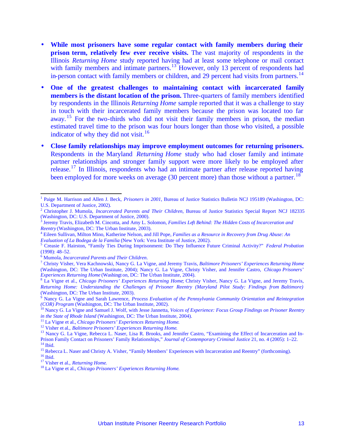- **While most prisoners have some regular contact with family members during their prison term, relatively few ever receive visits.** The vast majority of respondents in the Illinois *Returning Home* study reported having had at least some telephone or mail contact with family members and intimate partners.<sup>13</sup> However, only 13 percent of respondents had in-person contact with family members or children, and 29 percent had visits from partners.<sup>14</sup>
- **One of the greatest challenges to maintaining contact with incarcerated family members is the distant location of the prison.** Three-quarters of family members identified by respondents in the Illinois *Returning Home* sample reported that it was a challenge to stay in touch with their incarcerated family members because the prison was located too far away.<sup>15</sup> For the two-thirds who did not visit their family members in prison, the median estimated travel time to the prison was four hours longer than those who visited, a possible indicator of why they did not visit.<sup>16</sup>
- **Close family relationships may improve employment outcomes for returning prisoners.**  Respondents in the Maryland *Returning Home* study who had closer family and intimate partner relationships and stronger family support were more likely to be employed after release.<sup>17</sup> In Illinois, respondents who had an intimate partner after release reported having been employed for more weeks on average (30 percent more) than those without a partner.<sup>18</sup>

<sup>&</sup>lt;sup>1</sup> Paige M. Harrison and Allen J. Beck, *Prisoners in 2001*, Bureau of Justice Statistics Bulletin NCJ 195189 (Washington, DC: U.S. Department of Justice, 2002).

<sup>2</sup> Christopher J. Mumola, *Incarcerated Parents and Their Children*, Bureau of Justice Statistics Special Report NCJ 182335 (Washington, DC: U.S. Department of Justice, 2000).

<sup>3</sup> Jeremy Travis, Elizabeth M. Cincotta, and Amy L. Solomon, *Families Left Behind: The Hidden Costs of Incarceration and Reentry* (Washington, DC: The Urban Institute, 2003).

<sup>4</sup> Eileen Sullivan, Milton Mino, Katherine Nelson, and Jill Pope, *Families as a Resource in Recovery from Drug Abuse: An Evaluation of La Bodega de la Familia* (New York: Vera Institute of Justice, 2002).

<sup>5</sup> Creasie F. Hairston, "Family Ties During Imprisonment: Do They Influence Future Criminal Activity?" *Federal Probation*  (1998): 48–52.

<sup>6</sup> Mumola, *Incarcerated Parents and Their Children*.

<sup>7</sup> Christy Visher, Vera Kachnowski, Nancy G. La Vigne, and Jeremy Travis, *Baltimore Prisoners' Experiences Returning Home*  (Washington, DC: The Urban Institute, 2004); Nancy G. La Vigne, Christy Visher, and Jennifer Castro, *Chicago Prisoners' Experiences Returning Home* (Washingt on, DC: The Urban Institute, 2004).

<sup>8</sup> La Vigne et al., *Chicago Prisoners' Experiences Returning Home*; Christy Visher, Nancy G. La Vigne, and Jeremy Travis, *Returning Home: Understanding the Challenges of Prisoner Reentry (Maryland Pilot Study: Findings from Baltimore)*  (Washington, DC: The Urban Institute, 2003).

<sup>&</sup>lt;sup>9</sup> Nancy G. La Vigne and Sarah Lawrence, *Process Evaluation of the Pennsylvania Community Orientation and Reintegration (COR) Program* (Washington, DC: The Urban Institute, 2002).

<sup>10</sup> Nancy G. La Vigne and Samuel J. Wolf, with Jesse Jannetta, *Voices of Experience: Focus Group Findings on Prisoner Reentry in the State of Rhode Island* (Washington, DC: The Urban Institute, 2004).

<sup>11</sup> La Vigne et al., *Chicago Prisoners' Experiences Returning Home*.

<sup>12</sup> Visher et al., *Baltimore Prisoners' Experiences Returning Home*.

<sup>&</sup>lt;sup>13</sup> Nancy G. La Vigne, Rebecca L. Naser, Lisa R. Brooks, and Jennifer Castro, "Examining the Effect of Incarceration and In-Prison Family Contact on Prisoners' Family Relationships," *Journal of Contemporary Criminal Justice* 21, no. 4 (2005): 1–22. <sup>14</sup> Ibid.

<sup>&</sup>lt;sup>15</sup> Rebecca L. Naser and Christy A. Visher, "Family Members' Experiences with Incarceration and Reentry" (forthcoming). <sup>16</sup> Ibid.

<sup>17</sup> Visher et al., *Returning Home*.

<sup>18</sup> La Vigne et al., *Chicago Prisoners' Experiences Returning Home*.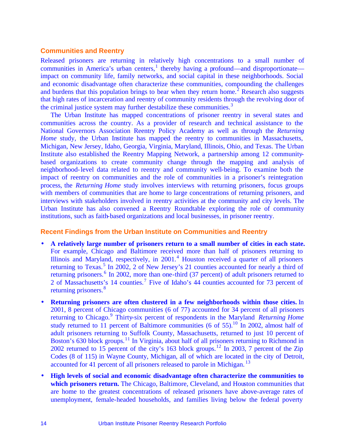#### **Communities and Reentry**

Released prisoners are returning in relatively high concentrations to a small number of communities in America's urban centers,<sup>1</sup> thereby having a profound—and disproportionate impact on community life, family networks, and social capital in these neighborhoods. Social and economic disadvantage often characterize these communities, compounding the challenges and burdens that this population brings to bear when they return home.<sup>2</sup> Research also suggests that high rates of incarceration and reentry of community residents through the revolving door of the criminal justice system may further destabilize these communities.<sup>3</sup>

The Urban Institute has mapped concentrations of prisoner reentry in several states and communities across the country. As a provider of research and technical assistance to the National Governors Association Reentry Policy Academy as well as through the *Returning Home* study, the Urban Institute has mapped the reentry to communities in Massachusetts, Michigan, New Jersey, Idaho, Georgia, Virginia, Maryland, Illinois, Ohio, and Texas. The Urban Institute also established the Reentry Mapping Network, a partnership among 12 communitybased organizations to create community change through the mapping and analysis of neighborhood-level data related to reentry and community well-being. To examine both the impact of reentry on communities and the role of communities in a prisoner's reintegration process, the *Returning Home* study involves interviews with returning prisoners, focus groups with members of communities that are home to large concentrations of returning prisoners, and interviews with stakeholders involved in reentry activities at the community and city levels. The Urban Institute has also convened a Reentry Roundtable exploring the role of community institutions, such as faith-based organizations and local businesses, in prisoner reentry.

#### **Recent Findings from the Urban Institute on Communities and Reentry**

- **A relatively large number of prisoners return to a small number of cities in each state.** For example, Chicago and Baltimore received more than half of prisoners returning to Illinois and Maryland, respectively, in 2001.<sup>4</sup> Houston received a quarter of all prisoners returning to Texas.<sup>5</sup> In 2002, 2 of New Jersey's 21 counties accounted for nearly a third of returning prisoners.<sup>6</sup> In 2002, more than one-third (37 percent) of adult prisoners returned to 2 of Massachusetts's 14 counties.<sup>7</sup> Five of Idaho's 44 counties accounted for 73 percent of returning prisoners.<sup>8</sup>
- **Returning prisoners are often clustered in a few neighborhoods within those cities.** In 2001, 8 percent of Chicago communities (6 of 77) accounted for 34 percent of all prisoners returning to Chicago.<sup>9</sup> Thirty-six percent of respondents in the Maryland *Returning Home* study returned to 11 percent of Baltimore communities (6 of 55).<sup>10</sup> In 2002, almost half of adult prisoners returning to Suffolk County, Massachusetts, returned to just 10 percent of Boston's 630 block groups.<sup>11</sup> In Virginia, about half of all prisoners returning to Richmond in 2002 returned to 15 percent of the city's 163 block groups.<sup>12</sup> In 2003, 7 percent of the Zip Codes (8 of 115) in Wayne County, Michigan, all of which are located in the city of Detroit, accounted for 41 percent of all prisoners released to parole in Michigan.<sup>13</sup>
- **High levels of social and economic disadvantage often characterize the communities to which prisoners return.** The Chicago, Baltimore, Cleveland, and Houston communities that are home to the greatest concentrations of released prisoners have above-average rates of unemployment, female-headed households, and families living below the federal poverty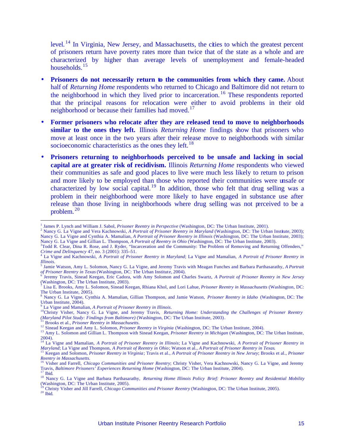level. <sup>14</sup> In Virginia, New Jersey, and Massachusetts, the cities to which the greatest percent of prisoners return have poverty rates more than twice that of the state as a whole and are characterized by higher than average levels of unemployment and female-headed households. $15$ 

- **Prisoners do not necessarily return to the communities from which they came.** About half of *Returning Home* respondents who returned to Chicago and Baltimore did not return to the neighborhood in which they lived prior to incarceration.<sup>16</sup> These respondents reported that the principal reasons for relocation were either to avoid problems in their old neighborhood or because their families had moved.<sup>17</sup>
- **Former prisoners who relocate after they are released tend to move to neighborhoods similar to the ones they left.** Illinois *Returning Home* findings show that prisoners who move at least once in the two years after their release move to neighborhoods with similar socioeconomic characteristics as the ones they left.<sup>18</sup>
- **Prisoners returning to neighborhoods perceived to be unsafe and lacking in social capital are at greater risk of recidivism.** Illinois *Returning Home* respondents who viewed their communities as safe and good places to live were much less likely to return to prison and more likely to be employed than those who reported their communities were unsafe or characterized by low social capital.<sup>19</sup> In addition, those who felt that drug selling was a problem in their neighborhood were more likely to have engaged in substance use after release than those living in neighborhoods where drug selling was not perceived to be a problem. <sup>20</sup>

- <sup>2</sup> Nancy G. La Vigne and Vera Kachnowski, *A Portrait of Prisoner Reentry in Maryland* (Washington, DC: The Urban Institute, 2003); Nancy G. La Vigne and Cynthia A. Mamalian, *A Portrait of Prisoner Reentry in Illinois* (Washington, DC: The Urban Institute, 2003); Nancy G. La Vigne and Gillian L. Thompson, *A Portrait of Reentry in Ohio* (Washington, DC: The Urban Institute, 2003).
- <sup>3</sup>Todd R. Clear, Dina R. Rose, and J. Ryder, "Incarceration and the Community: The Problem of Removing and Returning Offenders,"

<sup>&</sup>lt;sup>1</sup> James P. Lynch and William J. Sabol, *Prisoner Reentry in Perspective* (Washington, DC: The Urban Institute, 2001).

*Crime and Delinquency* 47, no. 3 (2001): 335–51. 4 La Vigne and Kachnowski, *A Portrait of Prisoner Reentry in Maryland*; La Vigne and Mamalian, *A Portrait of Prisoner Reentry in Illinois*.

<sup>5</sup> Jamie Watson, Amy L. Solomon, Nancy G. La Vigne, and Jeremy Travis with Meagan Funches and Barbara Parthasarathy, *A Portrait of Prisoner Reentry in Texas* (Washington, DC: The Urban Institute, 2004). 6 Jeremy Travis, Sinead Keegan, Eric Cadora, with Amy Solomon and Charles Swartz, *A Portrait of Prisoner Reentry in New Jersey*

<sup>(</sup>Washington, DC: The Urban Institute, 2003).

Lisa E. Brooks, Amy L. Solomon, Sinead Keegan, Rhiana Khol, and Lori Lahue, *Prisoner Reentry in Massachusetts* (Washington, DC: The Urban Institute, 2005).

<sup>8</sup> Nancy G. La Vigne, Cynthia A. Mamalian, Gillian Thompson, and Jamie Watson, *Prisoner Reentry in Idaho* (Washington, DC: The Urban Institute, 2004).

<sup>9</sup> La Vigne and Mamalian, *A Portrait of Prisoner Reentry in Illinois*.

<sup>&</sup>lt;sup>10</sup>Christy Visher, Nancy G. La Vigne, and Jeremy Travis, *Returning Home: Understanding the Challenges of Prisoner Reentry (Maryland Pilot Study: Findings from Baltimore)* (Washington, DC: The Urban Institute, 2003).

<sup>11</sup> Brooks et al., *Prisoner Reentry in Massachusetts*.

<sup>12</sup> Sinead Keegan and Amy L. Solomon, *Prisoner Reentry in Virginia* (Washington, DC: The Urban Institute, 2004).

<sup>13</sup> Amy L. Solomon and Gillian L. Thompson with Sinead Keegan, *Prisoner Reentry in Michigan* (Washington, DC: The Urban Institute, 2004). <sup>14</sup> La Vigne and Mamalian, *A Portrait of Prisoner Reentry in Illinois*; La Vigne and Kachnowski, *A Portrait of Prisoner Reentry in* 

*Maryland*; La Vigne and Thompson, *A Portrait of Reentry in Ohio*; Watson et al., *A Portrait of Prisoner Reentry in Texas*.

<sup>15</sup> Keegan and Solomon, *Prisoner Reentry in Virginia*; Travis et al., *A Portrait of Prisoner Reentry in New Jersey*; Brooks et al., *Prisoner Reentry in Massachusetts*. <sup>16</sup> Visher and Farrell, *Chicago Communities and Prisoner Reentry*; Christy Visher, Vera Kachnowski, Nancy G. La Vigne, and Jeremy

Travis, *Baltimore Prisoners' Experiences Returning Home* (Washington, DC: The Urban Institute, 2004).  $'$  Ibid.

<sup>&</sup>lt;sup>18</sup> Nancy G. La Vigne and Barbara Parthasarathy, *Returning Home Illinois Policy Brief: Prisoner Reentry and Residential Mobility* 

<sup>(</sup>Washington, DC: The Urban Institute, 2005). <sup>19</sup> Christy Visher and Jill Farrell, *Chicago Communities and Prisoner Reentry* (Washington, DC: The Urban Institute, 2005).  $20$  Ibid.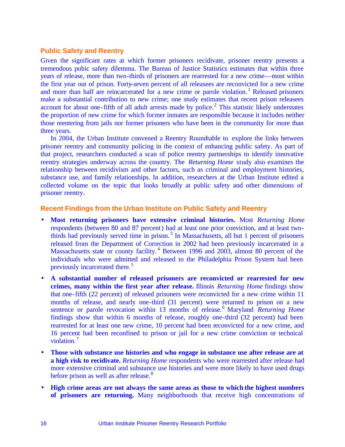#### **Public Safety and Reentry**

Given the significant rates at which former prisoners recidivate, prisoner reentry presents a tremendous pubic safety dilemma. The Bureau of Justice Statistics estimates that within three years of release, more than two-thirds of prisoners are rearrested for a new crime—most within the first year out of prison. Forty-seven percent of all releasees are reconvicted for a new crime and more than half are reincarcerated for a new crime or parole violation.<sup>1</sup> Released prisoners make a substantial contribution to new crime; one study estimates that recent prison releasees account for about one-fifth of all adult arrests made by police.<sup>2</sup> This statistic likely understates the proportion of new crime for which former inmates are responsible because it includes neither those reentering from jails nor former prisoners who have been in the community for more than three years.

In 2004, the Urban Institute convened a Reentry Roundtable to explore the links between prisoner reentry and community policing in the context of enhancing public safety. As part of that project, researchers conducted a scan of police reentry partnerships to identify innovative reentry strategies underway across the country. The *Returning Home* study also examines the relationship between recidivism and other factors, such as criminal and employment histories, substance use, and family relationships. In addition, researchers at the Urban Institute edited a collected volume on the topic that looks broadly at public safety and other dimensions of prisoner reentry.

#### **Recent Findings from the Urban Institute on Public Safety and Reentry**

- **Most returning prisoners have extensive criminal histories.** Most *Returning Home* respondents (between 80 and 87 percent) had at least one prior conviction, and at least twothirds had previously served time in prison.<sup>3</sup> In Massachusetts, all but 1 percent of prisoners released from the Department of Correction in 2002 had been previously incarcerated in a Massachusetts state or county facility.<sup>4</sup> Between 1996 and 2003, almost 80 percent of the individuals who were admitted and released to the Philadelphia Prison System had been previously incarcerated there.<sup>5</sup>
- **A substantial number of released prisoners are reconvicted or rearrested for new crimes, many within the first year after release.** Illinois *Returning Home* findings show that one-fifth (22 percent) of released prisoners were reconvicted for a new crime within 11 months of release, and nearly one-third (31 percent) were returned to prison on a new sentence or parole revocation within 13 months of release.<sup>6</sup> Maryland *Returning Home* findings show that within 6 months of release, roughly one-third (32 percent) had been rearrested for at least one new crime, 10 percent had been reconvicted for a new crime, and 16 percent had been reconfined to prison or jail for a new crime conviction or technical violation.<sup>7</sup>
- **Those with substance use histories and who engage in substance use after release are at a high risk to recidivate.** *Returning Home* respondents who were rearrested after release had more extensive criminal and substance use histories and were more likely to have used drugs before prison as well as after release.<sup>8</sup>
- **High crime areas are not always the same areas as those to which the highest numbers of prisoners are returning.** Many neighborhoods that receive high concentrations of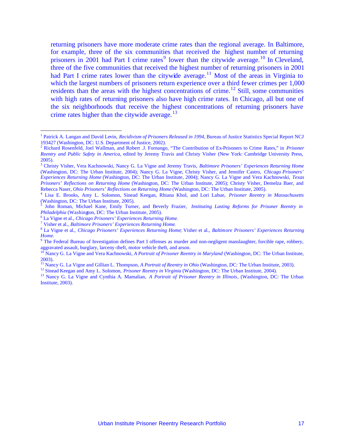returning prisoners have more moderate crime rates than the regional average. In Baltimore, for example, three of the six communities that received the highest number of returning prisoners in 2001 had Part I crime rates<sup>9</sup> lower than the citywide average.<sup>10</sup> In Cleveland, three of the five communities that received the highest number of returning prisoners in 2001 had Part I crime rates lower than the citywide average.<sup>11</sup> Most of the areas in Virginia to which the largest numbers of prisoners return experience over a third fewer crimes per 1,000 residents than the areas with the highest concentrations of crime.<sup>12</sup> Still, some communities with high rates of returning prisoners also have high crime rates. In Chicago, all but one of the six neighborhoods that receive the highest concentrations of returning prisoners have crime rates higher than the citywide average. $13$ 

<sup>&</sup>lt;sup>1</sup> Patrick A. Langan and David Levin, *Recidivism of Prisoners Released in 1994*, Bureau of Justice Statistics Special Report NCJ 193427 (Washington, DC: U.S. Department of Justice, 2002).

<sup>2</sup> Richard Rosenfeld, Joel Wallman, and Robert .J. Fornango, "The Contribution of Ex-Prisoners to Crime Rates," in *Prisoner Reentry and Public Safety in America*, edited by Jeremy Travis and Christy Visher (New York: Cambridge University Press, 2005).

<sup>3</sup> Christy Visher, Vera Kachnowski, Nancy G. La Vigne and Jeremy Travis, *Baltimore Prisoners' Experiences Returning Home*  (Washington, DC: The Urban Institute, 2004); Nancy G. La Vigne, Christy Visher, and Jennifer Castro, *Chicago Prisoners' Experiences Returning Home* (Washington, DC: The Urban Institute, 2004); Nancy G. La Vigne and Vera Kachnowski, *Texas Prisoners' Reflections on Returning Home* (Washington, DC: The Urban Institute, 2005); Christy Visher, Demelza Baer, and Rebecca Naser, *Ohio Prisoners' Reflections on Returning Home* (Washington, DC: The Urban Institute, 2005).

<sup>4</sup> Lisa E. Brooks, Amy L. Solomon, Sinead Keegan, Rhiana Khol, and Lori Lahue, *Prisoner Reentry in Massachusetts* (Washington, DC: The Urban Institute, 2005).<br>
<sup>5</sup> John Boman, Michael Kane, Emily Turn

John Roman, Michael Kane, Emily Turner, and Beverly Frazier, *Instituting Lasting Reforms for Prisoner Reentry in Philadelphia* (Washington, DC: The Urban Institute, 2005).

<sup>6</sup> La Vigne et al., *Chicago Prisoners' Experiences Returning Home*.

<sup>7</sup> Visher et al., *Baltimore Prisoners' Experiences Returning Home*.

<sup>8</sup> La Vigne et al., *Chicago Prisoners' Experiences Returning Home*; Visher et al., *Baltimore Prisoners' Experiences Returning Home*.

<sup>&</sup>lt;sup>9</sup> The Federal Bureau of Investigation defines Part I offenses as murder and non-negligent manslaughter, forcible rape, robbery, aggravated assault, burglary, larceny-theft, motor vehicle theft, and arson.

<sup>10</sup> Nancy G. La Vigne and Vera Kachnowski, *A Portrait of Prisoner Reentry in Maryland* (Washington, DC: The Urban Institute, 2003).

<sup>11</sup> Nancy G. La Vigne and Gillian L. Thompson, *A Portrait of Reentry in Ohio* (Washington, DC: The Urban Institute, 2003).

<sup>&</sup>lt;sup>12</sup> Sinead Keegan and Amy L. Solomon, *Prisoner Reentry in Virginia* (Washington, DC: The Urban Institute, 2004).

<sup>13</sup> Nancy G. La Vigne and Cynthia A. Mamalian, *A Portrait of Prisoner Reentry in Illinois*, (Washington, DC: The Urban Institute, 2003).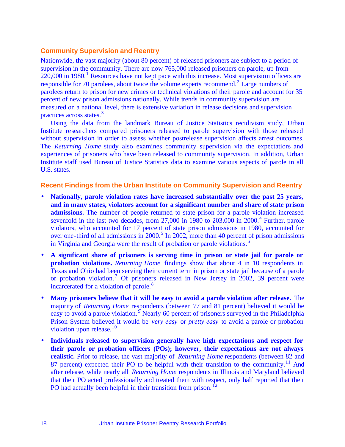#### **Community Supervision and Reentry**

Nationwide, the vast majority (about 80 percent) of released prisoners are subject to a period of supervision in the community. There are now 765,000 released prisoners on parole, up from  $220,000$  in 1980.<sup>1</sup> Resources have not kept pace with this increase. Most supervision officers are responsible for 70 parolees, about twice the volume experts recommend.<sup>2</sup> Large numbers of parolees return to prison for new crimes or technical violations of their parole and account for 35 percent of new prison admissions nationally. While trends in community supervision are measured on a national level, there is extensive variation in release decisions and supervision practices across states.<sup>3</sup>

Using the data from the landmark Bureau of Justice Statistics recidivism study, Urban Institute researchers compared prisoners released to parole supervision with those released without supervision in order to assess whether postrelease supervision affects arrest outcomes. The *Returning Home* study also examines community supervision via the expectations and experiences of prisoners who have been released to community supervision. In addition, Urban Institute staff used Bureau of Justice Statistics data to examine various aspects of parole in all U.S. states.

#### **Recent Findings from the Urban Institute on Community Supervision and Reentry**

- **Nationally, parole violation rates have increased substantially over the past 25 years, and in many states, violators account for a significant number and share of state prison admissions.** The number of people returned to state prison for a parole violation increased sevenfold in the last two decades, from  $27,000$  in  $1980$  to  $203,000$  in  $2000$ .<sup>4</sup> Further, parole violators, who accounted for 17 percent of state prison admissions in 1980, accounted for over one-third of all admissions in  $2000$ .<sup>5</sup> In 2002, more than 40 percent of prison admissions in Virginia and Georgia were the result of probation or parole violations.<sup>6</sup>
- **A significant share of prisoners is serving time in prison or state jail for parole or probation violations.** *Returning Home* findings show that about 4 in 10 respondents in Texas and Ohio had been serving their current term in prison or state jail because of a parole or probation violation.<sup>7</sup> Of prisoners released in New Jersey in 2002, 39 percent were incarcerated for a violation of parole.<sup>8</sup>
- **Many prisoners believe that it will be easy to avoid a parole violation after release.** The majority of *Returning Home* respondents (between 77 and 81 percent) believed it would be easy to avoid a parole violation.<sup>9</sup> Nearly 60 percent of prisoners surveyed in the Philadelphia Prison System believed it would be *very easy* or *pretty easy* to avoid a parole or probation violation upon release.<sup>10</sup>
- **Individuals released to supervision generally have high expectations and respect for their parole or probation officers (POs); however, their expectations are not always realistic.** Prior to release, the vast majority of *Returning Home* respondents (between 82 and 87 percent) expected their PO to be helpful with their transition to the community.<sup>11</sup> And after release, while nearly all *Returning Home* respondents in Illinois and Maryland believed that their PO acted professionally and treated them with respect, only half reported that their PO had actually been helpful in their transition from prison.<sup>12</sup>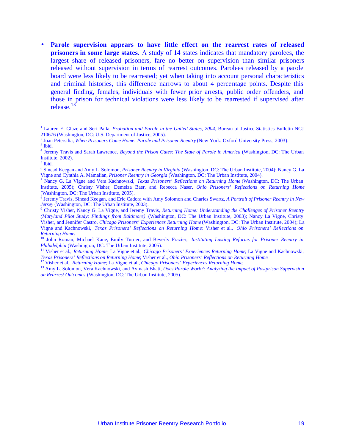• **Parole supervision appears to have little effect on the rearrest rates of released prisoners in some large states.** A study of 14 states indicates that mandatory parolees, the largest share of released prisoners, fare no better on supervision than similar prisoners released without supervision in terms of rearrest outcomes. Parolees released by a parole board were less likely to be rearrested; yet when taking into account personal characteristics and criminal histories, this difference narrows to about 4 percentage points. Despite this general finding, females, individuals with fewer prior arrests, public order offenders, and those in prison for technical violations were less likely to be rearrested if supervised after release.<sup>13</sup>

<sup>&</sup>lt;sup>1</sup> Lauren E. Glaze and Seri Palla, *Probation and Parole in the United States*, 2004, Bureau of Justice Statistics Bulletin NCJ 210676 (Washington, DC: U.S. Department of Justice, 2005).

<sup>2</sup> Joan Petersilia, *When Prisoners Come Home: Parole and Prisoner Reentry* (New York: Oxford University Press, 2003).  $3$  Ibid.

<sup>4</sup> Jeremy Travis and Sarah Lawrence, *Beyond the Prison Gates: The State of Parole in America* (Washington, DC: The Urban Institute, 2002).

<sup>5</sup> Ibid.

<sup>6</sup> Sinead Keegan and Amy L. Solomon, *Prisoner Reentry in Virginia* (Washington, DC: The Urban Institute, 2004); Nancy G. La Vigne and Cynthia A. Mamalian, *Prisoner Reentry in Georgia* (Washington, DC: The Urban Institute, 2004).

<sup>7</sup> Nancy G. La Vigne and Vera Kachnowski, *Texas Prisoners' Reflections on Returning Home* (Washington, DC: The Urban Institute, 2005); Christy Visher, Demelza Baer, and Rebecca Naser, *Ohio Prisoners' Reflections on Returning Home* (Washington, DC: The Urban Institute, 2005).

<sup>8</sup> Jeremy Travis, Sinead Keegan, and Eric Cadora with Amy Solomon and Charles Swartz, *A Portrait of Prisoner Reentry in New Jersey* (Washington, DC: The Urban Institute, 2003).

<sup>9</sup> Christy Visher, Nancy G. La Vigne, and Jeremy Travis, *Returning Home: Understanding the Challenges of Prisoner Reentry (Maryland Pilot Study: Findings from Baltimore)* (Washington, DC: The Urban Institute, 2003); Nancy La Vigne, Christy Visher, and Jennifer Castro, *Chicago Prisoners' Experiences Returning Home* (Washington, DC: The Urban Institute, 2004); La Vigne and Kachnowski, *Texas Prisoners' Reflections on Returning Home*; Visher et al., *Ohio Prisoners' Reflections on Returning Home*.

<sup>10</sup> John Roman, Michael Kane, Emily Turner, and Beverly Frazier, *Instituting Lasting Reforms for Prisoner Reentry in Philadelphia* (Washington, DC: The Urban Institute, 2005).

<sup>11</sup> Visher et al., *Returning Home*; La Vigne et al., *Chicago Prisoners' Experiences Returning Home*; La Vigne and Kachnowski, *Texas Prisoners' Reflections on Returning Home*; Visher et al., *Ohio Prisoners' Reflections on Returning Home*.

<sup>12</sup> Visher et al., *Returning Home*; La Vigne et al., *Chicago Prisoners' Experiences Returning Home*.

<sup>13</sup> Amy L. Solomon, Vera Kachnowski, and Avinash Bhati, *Does Parole Work?: Analyzing the Impact of Postprison Supervision on Rearrest Outcomes* (Washington, DC: The Urban Institute, 2005).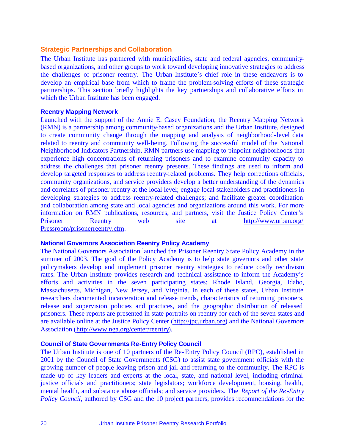#### **Strategic Partnerships and Collaboration**

The Urban Institute has partnered with municipalities, state and federal agencies, communitybased organizations, and other groups to work toward developing innovative strategies to address the challenges of prisoner reentry. The Urban Institute's chief role in these endeavors is to develop an empirical base from which to frame the problem-solving efforts of these strategic partnerships. This section briefly highlights the key partnerships and collaborative efforts in which the Urban Institute has been engaged.

#### **Reentry Mapping Network**

Launched with the support of the Annie E. Casey Foundation, the Reentry Mapping Network (RMN) is a partnership among community-based organizations and the Urban Institute, designed to create community change through the mapping and analysis of neighborhood-level data related to reentry and community well-being. Following the successful model of the National Neighborhood Indicators Partnership, RMN partners use mapping to pinpoint neighborhoods that experience high concentrations of returning prisoners and to examine community capacity to address the challenges that prisoner reentry presents. These findings are used to inform and develop targeted responses to address reentry-related problems. They help corrections officials, community organizations, and service providers develop a better understanding of the dynamics and correlates of prisoner reentry at the local level; engage local stakeholders and practitioners in developing strategies to address reentry-related challenges; and facilitate greater coordination and collaboration among state and local agencies and organizations around this work. For more information on RMN publications, resources, and partners, visit the Justice Policy Center's Prisoner Reentry web site at http://www.urban.org/ Pressroom/prisonerreentry.cfm.

#### **National Governors Association Reentry Policy Academy**

The National Governors Association launched the Prisoner Reentry State Policy Academy in the summer of 2003. The goal of the Policy Academy is to help state governors and other state policymakers develop and implement prisoner reentry strategies to reduce costly recidivism rates. The Urban Institute provides research and technical assistance to inform the Academy's efforts and activities in the seven participating states: Rhode Island, Georgia, Idaho, Massachusetts, Michigan, New Jersey, and Virginia. In each of these states, Urban Institute researchers documented incarceration and release trends, characteristics of returning prisoners, release and supervision policies and practices, and the geographic distribution of released prisoners. These reports are presented in state portraits on reentry for each of the seven states and are available online at the Justice Policy Center (http://jpc.urban.org) and the National Governors Association (http://www.nga.org/center/reentry).

#### **Council of State Governments Re-Entry Policy Council**

The Urban Institute is one of 10 partners of the Re-Entry Policy Council (RPC), established in 2001 by the Council of State Governments (CSG) to assist state government officials with the growing number of people leaving prison and jail and returning to the community. The RPC is made up of key leaders and experts at the local, state, and national level, including criminal justice officials and practitioners; state legislators; workforce development, housing, health, mental health, and substance abuse officials; and service providers. The *Report of the Re -Entry Policy Council*, authored by CSG and the 10 project partners, provides recommendations for the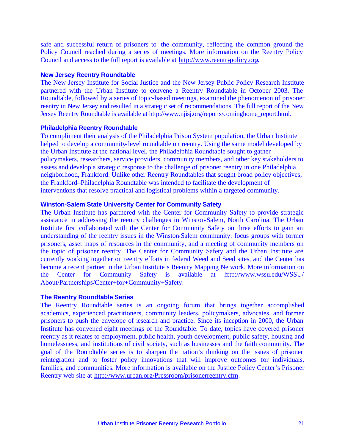safe and successful return of prisoners to the community, reflecting the common ground the Policy Council reached during a series of meetings. More information on the Reentry Policy Council and access to the full report is available at http://www.reentrypolicy.org.

#### **New Jersey Reentry Roundtable**

The New Jersey Institute for Social Justice and the New Jersey Public Policy Research Institute partnered with the Urban Institute to convene a Reentry Roundtable in October 2003. The Roundtable, followed by a series of topic-based meetings, examined the phenomenon of prisoner reentry in New Jersey and resulted in a strategic set of recommendations. The full report of the New Jersey Reentry Roundtable is available at http://www.njisj.org/reports/cominghome\_report.html.

#### **Philadelphia Reentry Roundtable**

To compliment their analysis of the Philadelphia Prison System population, the Urban Institute helped to develop a community-level roundtable on reentry. Using the same model developed by the Urban Institute at the national level, the Philadelphia Roundtable sought to gather policymakers, researchers, service providers, community members, and other key stakeholders to assess and develop a strategic response to the challenge of prisoner reentry in one Philadelphia neighborhood, Frankford. Unlike other Reentry Roundtables that sought broad policy objectives, the Frankford–Philadelphia Roundtable was intended to facilitate the development of interventions that resolve practical and logistical problems within a targeted community.

#### **Winston-Salem State University Center for Community Safety**

The Urban Institute has partnered with the Center for Community Safety to provide strategic assistance in addressing the reentry challenges in Winston-Salem, North Carolina. The Urban Institute first collaborated with the Center for Community Safety on three efforts to gain an understanding of the reentry issues in the Winston-Salem community: focus groups with former prisoners, asset maps of resources in the community, and a meeting of community members on the topic of prisoner reentry. The Center for Community Safety and the Urban Institute are currently working together on reentry efforts in federal Weed and Seed sites, and the Center has become a recent partner in the Urban Institute's Reentry Mapping Network. More information on the Center for Community Safety is available at http://www.wssu.edu/WSSU/ About/Partnerships/Center+for+Community+Safety.

#### **The Reentry Roundtable Series**

The Reentry Roundtable series is an ongoing forum that brings together accomplished academics, experienced practitioners, community leaders, policymakers, advocates, and former prisoners to push the envelope of research and practice. Since its inception in 2000, the Urban Institute has convened eight meetings of the Roundtable. To date, topics have covered prisoner reentry as it relates to employment, public health, youth development, public safety, housing and homelessness, and institutions of civil society, such as businesses and the faith community. The goal of the Roundtable series is to sharpen the nation's thinking on the issues of prisoner reintegration and to foster policy innovations that will improve outcomes for individuals, families, and communities. More information is available on the Justice Policy Center's Prisoner Reentry web site at http://www.urban.org/Pressroom/prisonerreentry.cfm.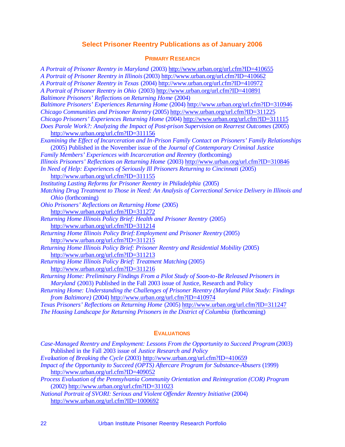#### **Select Prisoner Reentry Publications as of January 2006**

#### **PRIMARY RESEARCH**

*A Portrait of Prisoner Reentry in Maryland* (2003) http://www.urban.org/url.cfm?ID=410655 *A Portrait of Prisoner Reentry in Illinois* (2003) http://www.urban.org/url.cfm?ID=410662 *A Portrait of Prisoner Reentry in Texas* (2004) http://www.urban.org/url.cfm?ID=410972 *A Portrait of Prisoner Reentry in Ohio* (2003) http://www.urban.org/url.cfm?ID=410891 *Baltimore Prisoners' Reflections on Returning Home* (2004) *Baltimore Prisoners' Experiences Returning Home* (2004) http://www.urban.org/url.cfm?ID=310946 *Chicago Communities and Prisoner Reentry* (2005) http://www.urban.org/url.cfm?ID=311225 *Chicago Prisoners' Experiences Returning Home* (2004) http://www.urban.org/url.cfm?ID=311115 *Does Parole Work?: Analyzing the Impact of Post-prison Supervision on Rearrest Outcomes* (2005) http://www.urban.org/url.cfm?ID=311156 *Examining the Effect of Incarceration and In-Prison Family Contact on Prisoners' Family Relationships* (2005) Published in the November issue of the *Journal of Contemporary Criminal Justice Family Members' Experiences with Incarceration and Reentry* (forthcoming) *Illinois Prisoners' Reflections on Returning Home* (2003) http://www.urban.org/url.cfm?ID=310846 *In Need of Help: Experiences of Seriously Ill Prisoners Returning to Cincinnati* (2005) http://www.urban.org/url.cfm?ID=311155 *Instituting Lasting Reforms for Prisoner Reentry in Philadelphia* (2005) *Matching Drug Treatment to Those in Need: An Analysis of Correctional Service Delivery in Illinois and Ohio* (forthcoming) *Ohio Prisoners' Reflections on Returning Home* (2005) http://www.urban.org/url.cfm?ID=311272 *Returning Home Illinois Policy Brief: Health and Prisoner Reentry* (2005) http://www.urban.org/url.cfm?ID=311214 *Returning Home Illinois Policy Brief: Employment and Prisoner Reentry* (2005) http://www.urban.org/url.cfm?ID=311215 *Returning Home Illinois Policy Brief: Prisoner Reentry and Residential Mobility* (2005) http://www.urban.org/url.cfm?ID=311213 *Returning Home Illinois Policy Brief: Treatment Matching* (2005) http://www.urban.org/url.cfm?ID=311216 *Returning Home: Preliminary Findings From a Pilot Study of Soon-to-Be Released Prisoners in Maryland* (2003) Published in the Fall 2003 issue of Justice, Research and Policy *Returning Home: Understanding the Challenges of Prisoner Reentry (Maryland Pilot Study: Findings from Baltimore)* (2004) http://www.urban.org/url.cfm?ID=410974 *Texas Prisoners' Reflections on Returning Home* (2005) http://www.urban.org/url.cfm?ID=311247 *The Housing Landscape for Returning Prisoners in the District of Columbia* (forthcoming)

#### **EVALUATIONS**

| Case-Managed Reentry and Employment: Lessons From the Opportunity to Succeed Program (2003)<br>Published in the Fall 2003 issue of Justice Research and Policy |
|----------------------------------------------------------------------------------------------------------------------------------------------------------------|
| Evaluation of Breaking the Cycle (2003) http://www.urban.org/url.cfm?ID=410659                                                                                 |
| Impact of the Opportunity to Succeed (OPTS) Aftercare Program for Substance-Abusers (1999)                                                                     |
| http://www.urban.org/url.cfm?ID=409052                                                                                                                         |
| Process Evaluation of the Pennsylvania Community Orientation and Reintegration (COR) Program                                                                   |
| (2002) http://www.urban.org/url.cfm?ID=311023                                                                                                                  |
| National Portrait of SVORI: Serious and Violent Offender Reentry Initiative (2004)                                                                             |
| http://www.urban.org/url.cfm?ID=1000692                                                                                                                        |
|                                                                                                                                                                |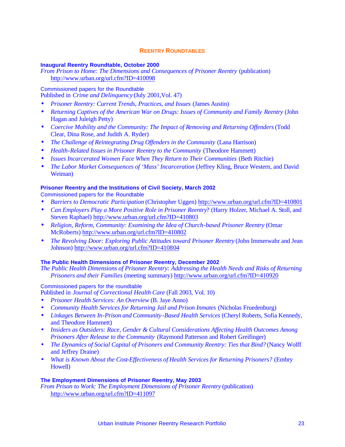#### **REENTRY ROUNDTABLES**

#### **Inaugural Reentry Roundtable, October 2000**

*From Prison to Home: The Dimensions and Consequences of Prisoner Reentry* (publication) http://www.urban.org/url.cfm?ID=410098

#### Commissioned papers for the Roundtable

Published in *Crime and Delinquency* (July 2001,Vol. 47)

- *Prisoner Reentry: Current Trends, Practices, and Issues* (James Austin)
- *Returning Captives of the American War on Drugs: Issues of Community and Family Reentry (John* Hagan and Juleigh Petty)
- *Coercive Mobility and the Community: The Impact of Removing and Returning Offenders* (Todd Clear, Dina Rose, and Judith A. Ryder)
- *The Challenge of Reintegrating Drug Offenders in the Community (Lana Harrison)*
- *Health-Related Issues in Prisoner Reentry to the Community (Theodore Hammett)*
- *Issues Incarcerated Women Face When They Return to Their Communities (Beth Ritchie)*
- *The Labor Market Consequences of 'Mass' Incarceration* (Jeffrey Kling, Bruce Western, and David Weiman)

#### **Prisoner Reentry and the Institutions of Civil Society, March 2002**

Commissioned papers for the Roundtable

- *Barriers to Democratic Participation* (Christopher Uggen) http://www.urban.org/url.cfm?ID=410801
- *Can Employers Play a More Positive Role in Prisoner Reentry*? (Harry Holzer, Michael A. Stoll, and Steven Raphael) http://www.urban.org/url.cfm?ID=410803
- *Religion, Reform, Community: Examining the Idea of Church-based Prisoner Reentry* (Omar McRoberts) http://www.urban.org/url.cfm?ID=410802
- *The Revolving Door: Exploring Public Attitudes toward Prisoner Reentry* (John Immerwahr and Jean Johnson) http://www.urban.org/url.cfm?ID=410804

#### **The Public Health Dimensions of Prisoner Reentry, December 2002**

*The Public Health Dimensions of Prisoner Reentry: Addressing the Health Needs and Risks of Returning Prisoners and their Families* (meeting summary) http://www.urban.org/url.cfm?ID=410920

#### Commissioned papers for the roundtable

Published in *Journal of Correctional Health Care* (Fall 2003, Vol. 10)

- *Prisoner Health Services: An Overview* (B. Jaye Anno)
- *Community Health Services for Returning Jail and Prison Inmates* (Nicholas Fruedenburg)
- *Linkages Between In-Prison and Community -Based Health Services* (Cheryl Roberts, Sofia Kennedy, and Theodore Hammett)
- *Insiders as Outsiders: Race, Gender & Cultural Considerations Affecting Health Outcomes Among Prisoners After Release to the Community* (Raymond Patterson and Robert Greifinger)
- *The Dynamics of Social Capital of Prisoners and Community Reentry: Ties that Bind?* (Nancy Wolff and Jeffrey Draine)
- *What is Known About the Cost-Effectiveness of Health Services for Returning Prisoners?* (Embry Howell)

#### **The Employment Dimensions of Prisoner Reentry, May 2003**

*From Prison to Work: The Employment Dimensions of Prisoner Reentry* (publication) http://www.urban.org/url.cfm?ID=411097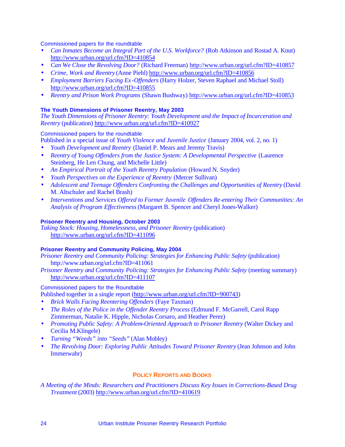Commissioned papers for the roundtable

- *Can Inmates Become an Integral Part of the U.S. Workforce?* (Rob Atkinson and Rostad A. Knut) http://www.urban.org/url.cfm?ID=410854
- *Can We Close the Revolving Door?* (Richard Freeman) http://www.urban.org/url.cfm?ID=410857
- *Crime, Work and Reentry* (Anne Piehl) http://www.urban.org/url.cfm?ID=410856
- *Employment Barriers Facing Ex -Offenders* (Harry Holzer, Steven Raphael and Michael Stoll) http://www.urban.org/url.cfm?ID=410855
- *Reentry and Prison Work Programs* (Shawn Bushway) http://www.urban.org/url.cfm?ID=410853

#### **The Youth Dimensions of Prisoner Reentry, May 2003**

*The Youth Dimensions of Prisoner Reentry: Youth Development and the Impact of Incarceration and Reentry* (publication) http://www.urban.org/url.cfm?ID=410927

#### Commissioned papers for the roundtable

Published in a special issue of *Youth Violence and Juvenile Justice* (January 2004, vol. 2, no. 1)

- *Youth Development and Reentry* (Daniel P. Mears and Jeremy Travis)
- *Reentry of Young Offenders from the Justice System: A Developmental Perspective* (Laurence Steinberg, He Len Chung, and Michelle Little)
- *An Empirical Portrait of the Youth Reentry Population* (Howard N. Snyder)
- *Youth Perspectives on the Experience of Reentry* (Mercer Sullivan)
- *Adolescent and Teenage Offenders Confronting the Challenges and Opportunities of Reentry (David* M. Altschuler and Rachel Brash)
- *Interventions and Services Offered to Former Juvenile Offenders Re-entering Their Communities: An Analysis of Program Effectiveness* (Margaret B. Spencer and Cheryl Jones-Walker)

#### **Prisoner Reentry and Housing, October 2003**

*Taking Stock: Housing, Homelessness, and Prisoner Reentry* (publication) http://www.urban.org/url.cfm?ID=411096

#### **Prisoner Reentry and Community Policing, May 2004**

*Prisoner Reentry and Community Policing: Strategies for Enhancing Public Safety* (publication) http://www.urban.org/url.cfm?ID=411061

*Prisoner Reentry and Community Policing: Strategies for Enhancing Public Safety* (meeting summary) http://www.urban.org/url.cfm?ID=411107

Commissioned papers for the Roundtable

```
Published together in a single report (http://www.urban.org/url.cfm?ID=900743)
```
- *Brick Walls Facing Reentering Offenders* (Faye Taxman)
- *The Roles of the Police in the Offender Reentry Process* (Edmund F. McGarrell, Carol Rapp Zimmerman, Natalie K. Hipple, Nicholas Corsaro, and Heather Perez)
- *Promoting Public Safety: A Problem-Oriented Approach to Prisoner Reentry* (Walter Dickey and Cecilia M.Klingele)
- *Turning "Weeds" into "Seeds"* (Alan Mobley)
- *The Revolving Door: Exploring Public Attitudes Toward Prisoner Reentry* (Jean Johnson and John Immerwahr)

#### **POLICY REPORTS AND BOOKS**

*A Meeting of the Minds: Researchers and Practitioners Discuss Key Issues in Corrections-Based Drug Treatment* (2003) http://www.urban.org/url.cfm?ID=410619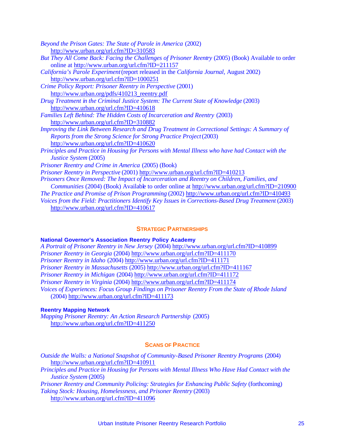| Beyond the Prison Gates: The State of Parole in America (2002)                                      |
|-----------------------------------------------------------------------------------------------------|
| http://www.urban.org/url.cfm?ID=310583                                                              |
| But They All Come Back: Facing the Challenges of Prisoner Reentry (2005) (Book) Available to order  |
| online at http://www.urban.org/url.cfm?ID=211157                                                    |
| California's Parole Experiment (report released in the California Journal, August 2002)             |
| http://www.urban.org/url.cfm?ID=1000251                                                             |
| Crime Policy Report: Prisoner Reentry in Perspective (2001)                                         |
| http://www.urban.org/pdfs/410213_reentry.pdf                                                        |
| Drug Treatment in the Criminal Justice System: The Current State of Knowledge (2003)                |
| http://www.urban.org/url.cfm?ID=410618                                                              |
| Families Left Behind: The Hidden Costs of Incarceration and Reentry (2003)                          |
| http://www.urban.org/url.cfm?ID=310882                                                              |
| Improving the Link Between Research and Drug Treatment in Correctional Settings: A Summary of       |
| Reports from the Strong Science for Strong Practice Project (2003)                                  |
| http://www.urban.org/url.cfm?ID=410620                                                              |
| Principles and Practice in Housing for Persons with Mental Illness who have had Contact with the    |
| Justice System (2005)                                                                               |
| Prisoner Reentry and Crime in America (2005) (Book)                                                 |
| Prisoner Reentry in Perspective (2001) http://www.urban.org/url.cfm?ID=410213                       |
| Prisoners Once Removed: The Impact of Incarceration and Reentry on Children, Families, and          |
| Communities (2004) (Book) Available to order online at http://www.urban.org/url.cfm?ID=210900       |
| The Practice and Promise of Prison Programming (2002) http://www.urban.org/url.cfm?ID=410493        |
| Voices from the Field: Practitioners Identify Key Issues in Corrections-Based Drug Treatment (2003) |
| http://www.urban.org/url.cfm?ID=410617                                                              |

#### **STRATEGIC PARTNERSHIPS**

#### **National Governor's Association Reentry Policy Academy**

*A Portrait of Prisoner Reentry in New Jersey* (2004) http://www.urban.org/url.cfm?ID=410899 *Prisoner Reentry in Georgia* (2004) http://www.urban.org/url.cfm?ID=411170 *Prisoner Reentry in Idaho* (2004) http://www.urban.org/url.cfm?ID=411171 *Prisoner Reentry in Massachusetts* (2005) http://www.urban.org/url.cfm?ID=411167 *Prisoner Reentry in Michigan* (2004) http://www.urban.org/url.cfm?ID=411172 *Prisoner Reentry in Virginia* (2004) http://www.urban.org/url.cfm?ID=411174 *Voices of Experiences: Focus Group Findings on Prisoner Reentry From the State of Rhode Island* (2004) http://www.urban.org/url.cfm?ID=411173

#### **Reentry Mapping Network**

*Mapping Prisoner Reentry: An Action Research Partnership* (2005) http://www.urban.org/url.cfm?ID=411250

#### **SCANS OF PRACTICE**

| Outside the Walls: a National Snapshot of Community-Based Prisoner Reentry Programs (2004) |  |  |
|--------------------------------------------------------------------------------------------|--|--|
| http://www.urban.org/url.cfm?ID=410911                                                     |  |  |

*Principles and Practice in Housing for Persons with Mental Illness Who Have Had Contact with the Justice System* (2005)

*Prisoner Reentry and Community Policing: Strategies for Enhancing Public Safety* (forthcoming) *Taking Stock: Housing, Homelessness, and Prisoner Reentry* (2003) http://www.urban.org/url.cfm?ID=411096